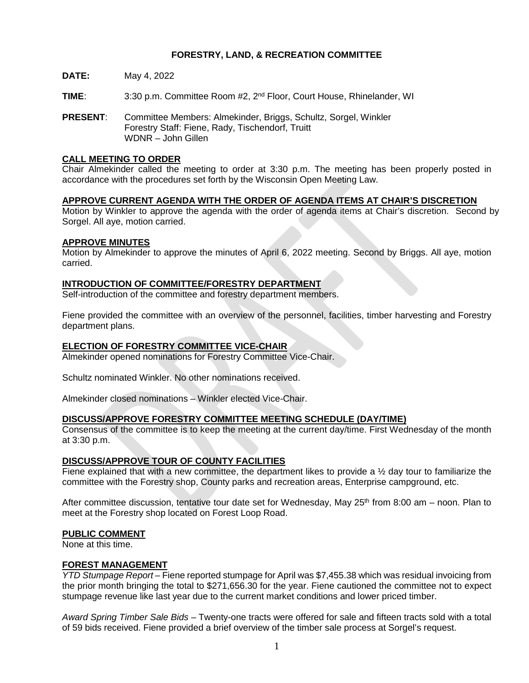# **FORESTRY, LAND, & RECREATION COMMITTEE**

- **DATE:** May 4, 2022
- **TIME**: 3:30 p.m. Committee Room #2, 2nd Floor, Court House, Rhinelander, WI
- **PRESENT**: Committee Members: Almekinder, Briggs, Schultz, Sorgel, Winkler Forestry Staff: Fiene, Rady, Tischendorf, Truitt WDNR – John Gillen

# **CALL MEETING TO ORDER**

Chair Almekinder called the meeting to order at 3:30 p.m. The meeting has been properly posted in accordance with the procedures set forth by the Wisconsin Open Meeting Law.

## **APPROVE CURRENT AGENDA WITH THE ORDER OF AGENDA ITEMS AT CHAIR'S DISCRETION**

Motion by Winkler to approve the agenda with the order of agenda items at Chair's discretion. Second by Sorgel. All aye, motion carried.

## **APPROVE MINUTES**

Motion by Almekinder to approve the minutes of April 6, 2022 meeting. Second by Briggs. All aye, motion carried.

## **INTRODUCTION OF COMMITTEE/FORESTRY DEPARTMENT**

Self-introduction of the committee and forestry department members.

Fiene provided the committee with an overview of the personnel, facilities, timber harvesting and Forestry department plans.

# **ELECTION OF FORESTRY COMMITTEE VICE-CHAIR**

Almekinder opened nominations for Forestry Committee Vice-Chair.

Schultz nominated Winkler. No other nominations received.

Almekinder closed nominations – Winkler elected Vice-Chair.

# **DISCUSS/APPROVE FORESTRY COMMITTEE MEETING SCHEDULE (DAY/TIME)**

Consensus of the committee is to keep the meeting at the current day/time. First Wednesday of the month at 3:30 p.m.

#### **DISCUSS/APPROVE TOUR OF COUNTY FACILITIES**

Fiene explained that with a new committee, the department likes to provide a ½ day tour to familiarize the committee with the Forestry shop, County parks and recreation areas, Enterprise campground, etc.

After committee discussion, tentative tour date set for Wednesday, May  $25<sup>th</sup>$  from 8:00 am – noon. Plan to meet at the Forestry shop located on Forest Loop Road.

#### **PUBLIC COMMENT**

None at this time.

#### **FOREST MANAGEMENT**

*YTD Stumpage Report –* Fiene reported stumpage for April was \$7,455.38 which was residual invoicing from the prior month bringing the total to \$271,656.30 for the year. Fiene cautioned the committee not to expect stumpage revenue like last year due to the current market conditions and lower priced timber.

*Award Spring Timber Sale Bids –* Twenty-one tracts were offered for sale and fifteen tracts sold with a total of 59 bids received. Fiene provided a brief overview of the timber sale process at Sorgel's request.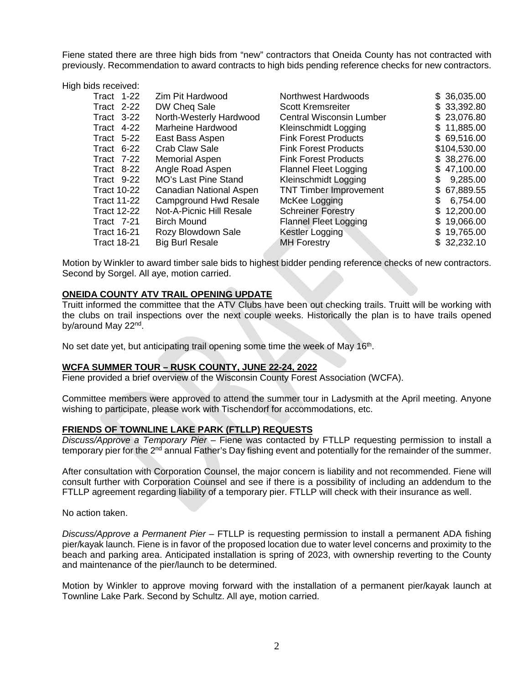Fiene stated there are three high bids from "new" contractors that Oneida County has not contracted with previously. Recommendation to award contracts to high bids pending reference checks for new contractors.

High bids received:

| Tract $1-22$       | Zim Pit Hardwood            | Northwest Hardwoods             | \$36,035.00     |
|--------------------|-----------------------------|---------------------------------|-----------------|
| Tract $2-22$       | DW Cheq Sale                | <b>Scott Kremsreiter</b>        | \$33,392.80     |
| Tract $3-22$       | North-Westerly Hardwood     | <b>Central Wisconsin Lumber</b> | \$23,076.80     |
| Tract 4-22         | Marheine Hardwood           | Kleinschmidt Logging            | \$11,885.00     |
| Tract $5-22$       | East Bass Aspen             | <b>Fink Forest Products</b>     | \$69,516.00     |
| Tract $6-22$       | Crab Claw Sale              | <b>Fink Forest Products</b>     | \$104,530.00    |
| Tract $7-22$       | Memorial Aspen              | <b>Fink Forest Products</b>     | \$38,276.00     |
| Tract 8-22         | Angle Road Aspen            | <b>Flannel Fleet Logging</b>    | \$47,100.00     |
| Tract 9-22         | <b>MO's Last Pine Stand</b> | Kleinschmidt Logging            | 9,285.00<br>S   |
| <b>Tract 10-22</b> | Canadian National Aspen     | <b>TNT Timber Improvement</b>   | \$67,889.55     |
| <b>Tract 11-22</b> | Campground Hwd Resale       | McKee Logging                   | 6,754.00        |
| <b>Tract 12-22</b> | Not-A-Picnic Hill Resale    | <b>Schreiner Forestry</b>       | \$12,200.00     |
| Tract 7-21         | <b>Birch Mound</b>          | <b>Flannel Fleet Logging</b>    | 19,066.00<br>\$ |
| <b>Tract 16-21</b> | Rozy Blowdown Sale          | Kestler Logging                 | \$19,765.00     |
| <b>Tract 18-21</b> | <b>Big Burl Resale</b>      | <b>MH</b> Forestry              | \$32,232.10     |

Motion by Winkler to award timber sale bids to highest bidder pending reference checks of new contractors. Second by Sorgel. All aye, motion carried.

# **ONEIDA COUNTY ATV TRAIL OPENING UPDATE**

Truitt informed the committee that the ATV Clubs have been out checking trails. Truitt will be working with the clubs on trail inspections over the next couple weeks. Historically the plan is to have trails opened by/around May 22nd.

No set date yet, but anticipating trail opening some time the week of May 16<sup>th</sup>.

# **WCFA SUMMER TOUR – RUSK COUNTY, JUNE 22-24, 2022**

Fiene provided a brief overview of the Wisconsin County Forest Association (WCFA).

Committee members were approved to attend the summer tour in Ladysmith at the April meeting. Anyone wishing to participate, please work with Tischendorf for accommodations, etc.

#### **FRIENDS OF TOWNLINE LAKE PARK (FTLLP) REQUESTS**

*Discuss/Approve a Temporary Pier –* Fiene was contacted by FTLLP requesting permission to install a temporary pier for the 2<sup>nd</sup> annual Father's Day fishing event and potentially for the remainder of the summer.

After consultation with Corporation Counsel, the major concern is liability and not recommended. Fiene will consult further with Corporation Counsel and see if there is a possibility of including an addendum to the FTLLP agreement regarding liability of a temporary pier. FTLLP will check with their insurance as well.

No action taken.

*Discuss/Approve a Permanent Pier* – FTLLP is requesting permission to install a permanent ADA fishing pier/kayak launch. Fiene is in favor of the proposed location due to water level concerns and proximity to the beach and parking area. Anticipated installation is spring of 2023, with ownership reverting to the County and maintenance of the pier/launch to be determined.

Motion by Winkler to approve moving forward with the installation of a permanent pier/kayak launch at Townline Lake Park. Second by Schultz. All aye, motion carried.